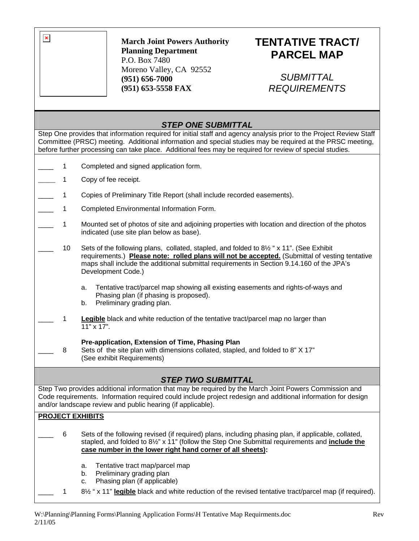

#### **March Joint Powers Authority Planning Department**  P.O. Box 7480 Moreno Valley, CA 92552 **(951) 656-7000 (951) 653-5558 FAX**

# **TENTATIVE TRACT/ PARCEL MAP**

## *SUBMITTAL REQUIREMENTS*

### *STEP ONE SUBMITTAL*

Step One provides that information required for initial staff and agency analysis prior to the Project Review Staff Committee (PRSC) meeting. Additional information and special studies may be required at the PRSC meeting, before further processing can take place. Additional fees may be required for review of special studies.

- 1 Completed and signed application form.
- 1 Copy of fee receipt.
- 1 Copies of Preliminary Title Report (shall include recorded easements).
- 1 Completed Environmental Information Form.
- 1 Mounted set of photos of site and adjoining properties with location and direction of the photos indicated (use site plan below as base).
- 10 Sets of the following plans, collated, stapled, and folded to 8½ " x 11". (See Exhibit requirements.) **Please note: rolled plans will not be accepted.** (Submittal of vesting tentative maps shall include the additional submittal requirements in Section 9.14.160 of the JPA's Development Code.)
	- a. Tentative tract/parcel map showing all existing easements and rights-of-ways and Phasing plan (if phasing is proposed).
	- b. Preliminary grading plan.
- $\overline{\phantom{a}}$ 1 **Legible** black and white reduction of the tentative tract/parcel map no larger than 11" x 17".

#### **Pre-application, Extension of Time, Phasing Plan**

 $\overline{\phantom{a}}$ 8 Sets of the site plan with dimensions collated, stapled, and folded to 8" X 17" (See exhibit Requirements)

### *STEP TWO SUBMITTAL*

Step Two provides additional information that may be required by the March Joint Powers Commission and Code requirements. Information required could include project redesign and additional information for design and/or landscape review and public hearing (if applicable).

#### **PROJECT EXHIBITS**

- \_\_\_\_ 6 Sets of the following revised (if required) plans, including phasing plan, if applicable, collated, stapled, and folded to 8½" x 11" (follow the Step One Submittal requirements and **include the case number in the lower right hand corner of all sheets):**
	- a. Tentative tract map/parcel map
	- b. Preliminary grading plan
	- c. Phasing plan (if applicable)
- \_\_\_\_ 1 8½ " x 11" **legible** black and white reduction of the revised tentative tract/parcel map (if required).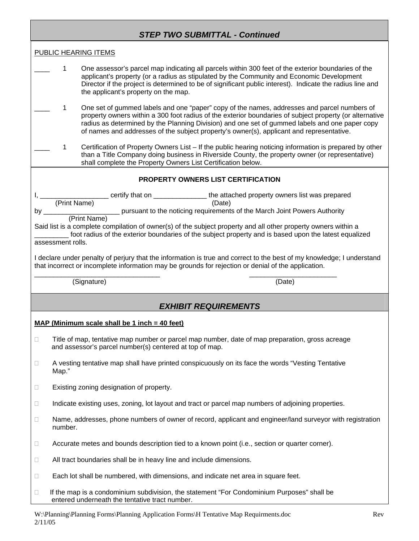|                                                                                                                                                                                                                              | <b>STEP TWO SUBMITTAL - Continued</b>                                                                                                                                                                                                                                                                                                                                                                                                                                                                                                                  |  |
|------------------------------------------------------------------------------------------------------------------------------------------------------------------------------------------------------------------------------|--------------------------------------------------------------------------------------------------------------------------------------------------------------------------------------------------------------------------------------------------------------------------------------------------------------------------------------------------------------------------------------------------------------------------------------------------------------------------------------------------------------------------------------------------------|--|
|                                                                                                                                                                                                                              | PUBLIC HEARING ITEMS                                                                                                                                                                                                                                                                                                                                                                                                                                                                                                                                   |  |
|                                                                                                                                                                                                                              | 1<br>One assessor's parcel map indicating all parcels within 300 feet of the exterior boundaries of the<br>applicant's property (or a radius as stipulated by the Community and Economic Development<br>Director if the project is determined to be of significant public interest). Indicate the radius line and<br>the applicant's property on the map.                                                                                                                                                                                              |  |
|                                                                                                                                                                                                                              | One set of gummed labels and one "paper" copy of the names, addresses and parcel numbers of<br>1<br>property owners within a 300 foot radius of the exterior boundaries of subject property (or alternative<br>radius as determined by the Planning Division) and one set of gummed labels and one paper copy<br>of names and addresses of the subject property's owner(s), applicant and representative.                                                                                                                                              |  |
|                                                                                                                                                                                                                              | Certification of Property Owners List – If the public hearing noticing information is prepared by other<br>1<br>than a Title Company doing business in Riverside County, the property owner (or representative)<br>shall complete the Property Owners List Certification below.                                                                                                                                                                                                                                                                        |  |
| <b>PROPERTY OWNERS LIST CERTIFICATION</b>                                                                                                                                                                                    |                                                                                                                                                                                                                                                                                                                                                                                                                                                                                                                                                        |  |
| by $\rule{1em}{0.15mm}$                                                                                                                                                                                                      | Certify that on _________________the attached property owners list was prepared<br>(Print Name) (Date)<br>pursuant to the noticing requirements of the March Joint Powers Authority.<br>———————————————————— pursuant to the noticing requirements of the March Joint Powers Authority<br>(Print Name)<br>Said list is a complete compilation of owner(s) of the subject property and all other property owners within a<br>foot radius of the exterior boundaries of the subject property and is based upon the latest equalized<br>assessment rolls. |  |
| I declare under penalty of perjury that the information is true and correct to the best of my knowledge; I understand<br>that incorrect or incomplete information may be grounds for rejection or denial of the application. |                                                                                                                                                                                                                                                                                                                                                                                                                                                                                                                                                        |  |
|                                                                                                                                                                                                                              | (Signature)<br>(Date)                                                                                                                                                                                                                                                                                                                                                                                                                                                                                                                                  |  |
|                                                                                                                                                                                                                              | <b>EXHIBIT REQUIREMENTS</b>                                                                                                                                                                                                                                                                                                                                                                                                                                                                                                                            |  |
| $MAP (Minimum scale shall be 1 inch = 40 feet)$                                                                                                                                                                              |                                                                                                                                                                                                                                                                                                                                                                                                                                                                                                                                                        |  |
| $\Box$                                                                                                                                                                                                                       | Title of map, tentative map number or parcel map number, date of map preparation, gross acreage<br>and assessor's parcel number(s) centered at top of map.                                                                                                                                                                                                                                                                                                                                                                                             |  |
| □                                                                                                                                                                                                                            | A vesting tentative map shall have printed conspicuously on its face the words "Vesting Tentative"<br>Map."                                                                                                                                                                                                                                                                                                                                                                                                                                            |  |
| $\Box$                                                                                                                                                                                                                       | Existing zoning designation of property.                                                                                                                                                                                                                                                                                                                                                                                                                                                                                                               |  |
| $\Box$                                                                                                                                                                                                                       | Indicate existing uses, zoning, lot layout and tract or parcel map numbers of adjoining properties.                                                                                                                                                                                                                                                                                                                                                                                                                                                    |  |
| $\Box$                                                                                                                                                                                                                       | Name, addresses, phone numbers of owner of record, applicant and engineer/land surveyor with registration<br>number.                                                                                                                                                                                                                                                                                                                                                                                                                                   |  |
| Ц                                                                                                                                                                                                                            | Accurate metes and bounds description tied to a known point (i.e., section or quarter corner).                                                                                                                                                                                                                                                                                                                                                                                                                                                         |  |
| Ц                                                                                                                                                                                                                            | All tract boundaries shall be in heavy line and include dimensions.                                                                                                                                                                                                                                                                                                                                                                                                                                                                                    |  |
| □                                                                                                                                                                                                                            | Each lot shall be numbered, with dimensions, and indicate net area in square feet.                                                                                                                                                                                                                                                                                                                                                                                                                                                                     |  |
| □                                                                                                                                                                                                                            | If the map is a condominium subdivision, the statement "For Condominium Purposes" shall be<br>entered underneath the tentative tract number.                                                                                                                                                                                                                                                                                                                                                                                                           |  |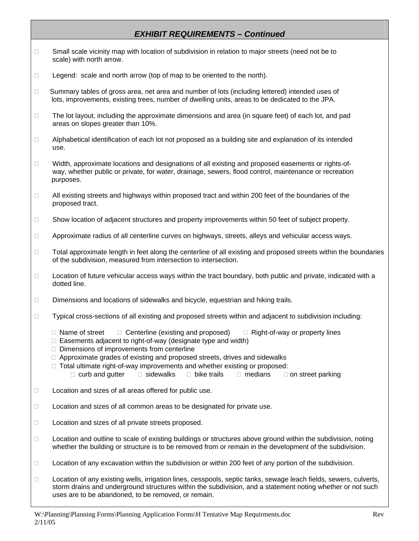### *EXHIBIT REQUIREMENTS – Continued*

- □ Small scale vicinity map with location of subdivision in relation to major streets (need not be to scale) with north arrow.
- $\Box$  Legend: scale and north arrow (top of map to be oriented to the north).
- $\Box$  Summary tables of gross area, net area and number of lots (including lettered) intended uses of lots, improvements, existing trees, number of dwelling units, areas to be dedicated to the JPA.
- $\Box$  The lot layout, including the approximate dimensions and area (in square feet) of each lot, and pad areas on slopes greater than 10%.
- $\Box$  Alphabetical identification of each lot not proposed as a building site and explanation of its intended use.
- $\Box$  Width, approximate locations and designations of all existing and proposed easements or rights-ofway, whether public or private, for water, drainage, sewers, flood control, maintenance or recreation purposes.
- $\Box$  All existing streets and highways within proposed tract and within 200 feet of the boundaries of the proposed tract.
- □ Show location of adjacent structures and property improvements within 50 feet of subject property.
- □ Approximate radius of all centerline curves on highways, streets, alleys and vehicular access ways.
- $\Box$  Total approximate length in feet along the centerline of all existing and proposed streets within the boundaries of the subdivision, measured from intersection to intersection.
- $\Box$  Location of future vehicular access ways within the tract boundary, both public and private, indicated with a dotted line.
- Dimensions and locations of sidewalks and bicycle, equestrian and hiking trails.
- $\Box$  Typical cross-sections of all existing and proposed streets within and adjacent to subdivision including:
	- $\Box$  Name of street  $\Box$  Centerline (existing and proposed)  $\Box$  Right-of-way or property lines
	- $\Box$  Easements adjacent to right-of-way (designate type and width)
	- $\Box$  Dimensions of improvements from centerline
	- □ Approximate grades of existing and proposed streets, drives and sidewalks
	- $\Box$  Total ultimate right-of-way improvements and whether existing or proposed:  $\Box$  curb and gutter  $\Box$  sidewalks  $\Box$  bike trails  $\Box$  medians  $\Box$  on street parking
- □ Location and sizes of all areas offered for public use.
- $\Box$  Location and sizes of all common areas to be designated for private use.
- □ Location and sizes of all private streets proposed.
- □ Location and outline to scale of existing buildings or structures above ground within the subdivision, noting whether the building or structure is to be removed from or remain in the development of the subdivision.
- $\Box$  Location of any excavation within the subdivision or within 200 feet of any portion of the subdivision.
- □ Location of any existing wells, irrigation lines, cesspools, septic tanks, sewage leach fields, sewers, culverts, storm drains and underground structures within the subdivision, and a statement noting whether or not such uses are to be abandoned, to be removed, or remain.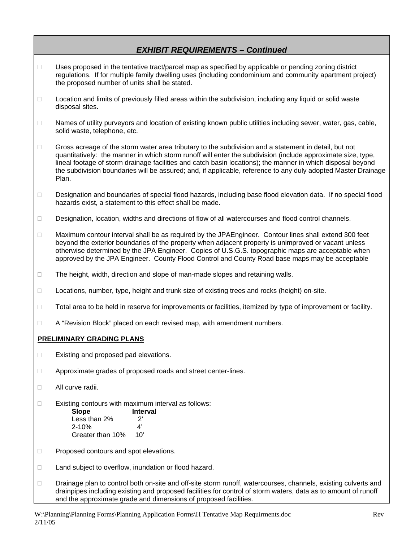#### *EXHIBIT REQUIREMENTS – Continued*

- □ Uses proposed in the tentative tract/parcel map as specified by applicable or pending zoning district regulations. If for multiple family dwelling uses (including condominium and community apartment project) the proposed number of units shall be stated.
- □ Location and limits of previously filled areas within the subdivision, including any liquid or solid waste disposal sites.
- $\Box$  Names of utility purveyors and location of existing known public utilities including sewer, water, gas, cable, solid waste, telephone, etc.
- Gross acreage of the storm water area tributary to the subdivision and a statement in detail, but not quantitatively: the manner in which storm runoff will enter the subdivision (include approximate size, type, lineal footage of storm drainage facilities and catch basin locations); the manner in which disposal beyond the subdivision boundaries will be assured; and, if applicable, reference to any duly adopted Master Drainage Plan.
- Designation and boundaries of special flood hazards, including base flood elevation data. If no special flood hazards exist, a statement to this effect shall be made.
- Designation, location, widths and directions of flow of all watercourses and flood control channels.
- $\Box$  Maximum contour interval shall be as required by the JPAEngineer. Contour lines shall extend 300 feet beyond the exterior boundaries of the property when adjacent property is unimproved or vacant unless otherwise determined by the JPA Engineer. Copies of U.S.G.S. topographic maps are acceptable when approved by the JPA Engineer. County Flood Control and County Road base maps may be acceptable
- $\Box$  The height, width, direction and slope of man-made slopes and retaining walls.
- □ Locations, number, type, height and trunk size of existing trees and rocks (height) on-site.
- □ Total area to be held in reserve for improvements or facilities, itemized by type of improvement or facility.
- □ A "Revision Block" placed on each revised map, with amendment numbers.

#### **PRELIMINARY GRADING PLANS**

- $\Box$  Existing and proposed pad elevations.
- □ Approximate grades of proposed roads and street center-lines.
- □ All curve radii.
- $\Box$  Existing contours with maximum interval as follows:
	- **Slope Interval**  Less than  $2\%$  2'<br>2-10% 4'  $2 - 10%$ Greater than 10% 10'
- □ Proposed contours and spot elevations.
- □ Land subject to overflow, inundation or flood hazard.
- □ Drainage plan to control both on-site and off-site storm runoff, watercourses, channels, existing culverts and drainpipes including existing and proposed facilities for control of storm waters, data as to amount of runoff and the approximate grade and dimensions of proposed facilities.